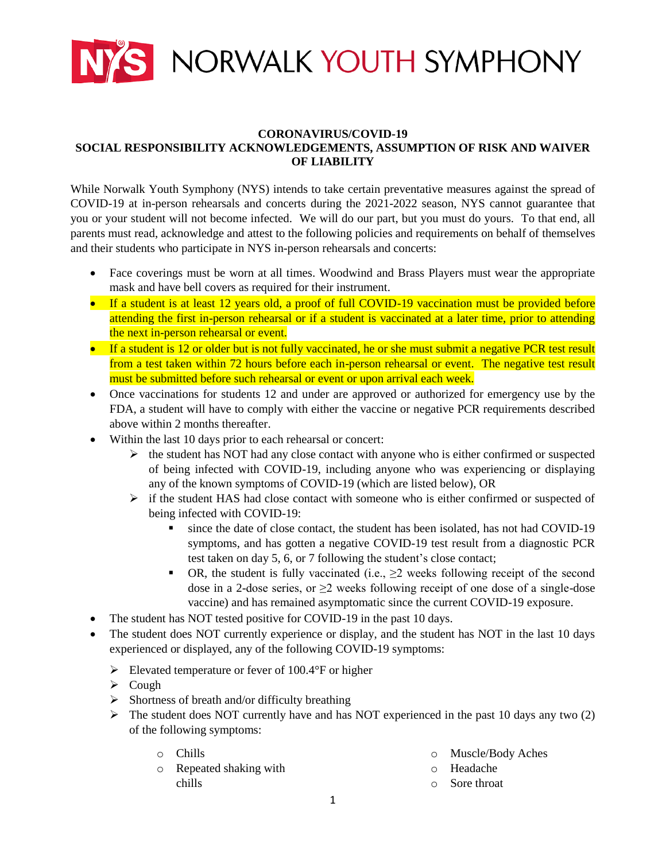

## **CORONAVIRUS/COVID-19 SOCIAL RESPONSIBILITY ACKNOWLEDGEMENTS, ASSUMPTION OF RISK AND WAIVER OF LIABILITY**

While Norwalk Youth Symphony (NYS) intends to take certain preventative measures against the spread of COVID-19 at in-person rehearsals and concerts during the 2021-2022 season, NYS cannot guarantee that you or your student will not become infected. We will do our part, but you must do yours. To that end, all parents must read, acknowledge and attest to the following policies and requirements on behalf of themselves and their students who participate in NYS in-person rehearsals and concerts:

- Face coverings must be worn at all times. Woodwind and Brass Players must wear the appropriate mask and have bell covers as required for their instrument.
- If a student is at least 12 years old, a proof of full COVID-19 vaccination must be provided before attending the first in-person rehearsal or if a student is vaccinated at a later time, prior to attending the next in-person rehearsal or event.
- If a student is 12 or older but is not fully vaccinated, he or she must submit a negative PCR test result from a test taken within 72 hours before each in-person rehearsal or event. The negative test result must be submitted before such rehearsal or event or upon arrival each week.
- Once vaccinations for students 12 and under are approved or authorized for emergency use by the FDA, a student will have to comply with either the vaccine or negative PCR requirements described above within 2 months thereafter.
- Within the last 10 days prior to each rehearsal or concert:
	- $\triangleright$  the student has NOT had any close contact with anyone who is either confirmed or suspected of being infected with COVID-19, including anyone who was experiencing or displaying any of the known symptoms of COVID-19 (which are listed below), OR
	- $\triangleright$  if the student HAS had close contact with someone who is either confirmed or suspected of being infected with COVID-19:
		- since the date of close contact, the student has been isolated, has not had COVID-19 symptoms, and has gotten a negative COVID-19 test result from a diagnostic PCR test taken on day 5, 6, or 7 following the student's close contact;
		- OR, the student is fully vaccinated (i.e.,  $\geq$ 2 weeks following receipt of the second dose in a 2-dose series, or  $\geq 2$  weeks following receipt of one dose of a single-dose vaccine) and has remained asymptomatic since the current COVID-19 exposure.
- The student has NOT tested positive for COVID-19 in the past 10 days.
- The student does NOT currently experience or display, and the student has NOT in the last 10 days experienced or displayed, any of the following COVID-19 symptoms:
	- Elevated temperature or fever of  $100.4\textdegree F$  or higher
	- $\triangleright$  Cough
	- $\triangleright$  Shortness of breath and/or difficulty breathing
	- $\triangleright$  The student does NOT currently have and has NOT experienced in the past 10 days any two (2) of the following symptoms:
		- o Chills
		- o Repeated shaking with chills
- o Muscle/Body Aches
- o Headache
- o Sore throat